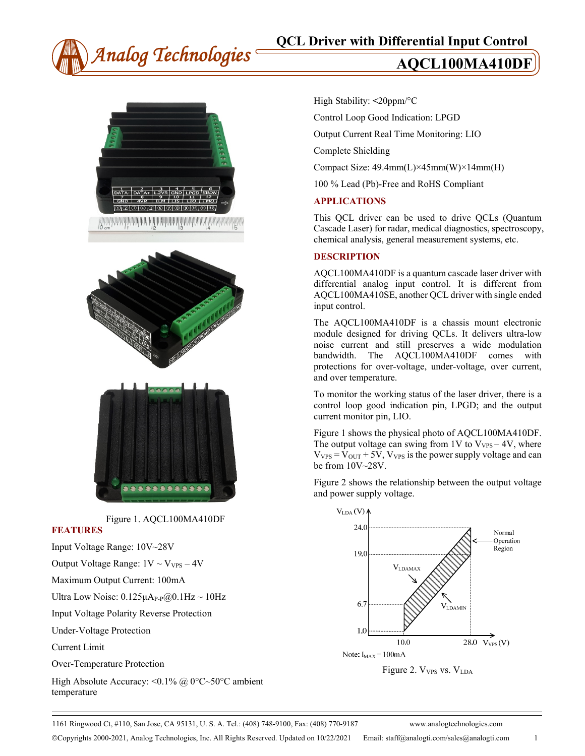



Figure 1. AQCL100MA410DF **FEATURES**  Input Voltage Range: 10V~28V Output Voltage Range:  $1V \sim V_{VPS} - 4V$ Maximum Output Current: 100mA Ultra Low Noise:  $0.125\mu A_{P-P}(\partial_{0}0.1Hz \sim 10Hz)$ 

Input Voltage Polarity Reverse Protection

Under-Voltage Protection

Current Limit

Over-Temperature Protection

High Absolute Accuracy: <0.1% @ 0°C~50°C ambient temperature

High Stability: **<**20ppm/°C

Control Loop Good Indication: LPGD

Output Current Real Time Monitoring: LIO

Complete Shielding

Compact Size: 49.4mm(L)×45mm(W)×14mm(H)

100 % Lead (Pb)-Free and RoHS Compliant

#### **APPLICATIONS**

This QCL driver can be used to drive QCLs (Quantum Cascade Laser) for radar, medical diagnostics, spectroscopy, chemical analysis, general measurement systems, etc.

#### **DESCRIPTION**

AQCL100MA410DF is a quantum cascade laser driver with differential analog input control. It is different from AQCL100MA410SE, another QCL driver with single ended input control.

The AQCL100MA410DF is a chassis mount electronic module designed for driving QCLs. It delivers ultra-low noise current and still preserves a wide modulation bandwidth. The AQCL100MA410DF comes with protections for over-voltage, under-voltage, over current, and over temperature.

To monitor the working status of the laser driver, there is a control loop good indication pin, LPGD; and the output current monitor pin, LIO.

Figure 1 shows the physical photo of AQCL100MA410DF. The output voltage can swing from 1V to  $V_{VPS} - 4V$ , where  $V_{VPS} = V_{OUT} + 5V$ ,  $V_{VPS}$  is the power supply voltage and can be from 10V~28V.

Figure 2 shows the relationship between the output voltage and power supply voltage.



Figure 2. V<sub>VPS</sub> vs. V<sub>LDA</sub>

1161 Ringwood Ct, #110, San Jose, CA 95131, U. S. A. Tel.: (408) 748-9100, Fax: (408) 770-9187 www.analogtechnologies.com

Copyrights 2000-2021, Analog Technologies, Inc. All Rights Reserved. Updated on 10/22/2021 Email: staff@analogti.com/sales@analogti.com 1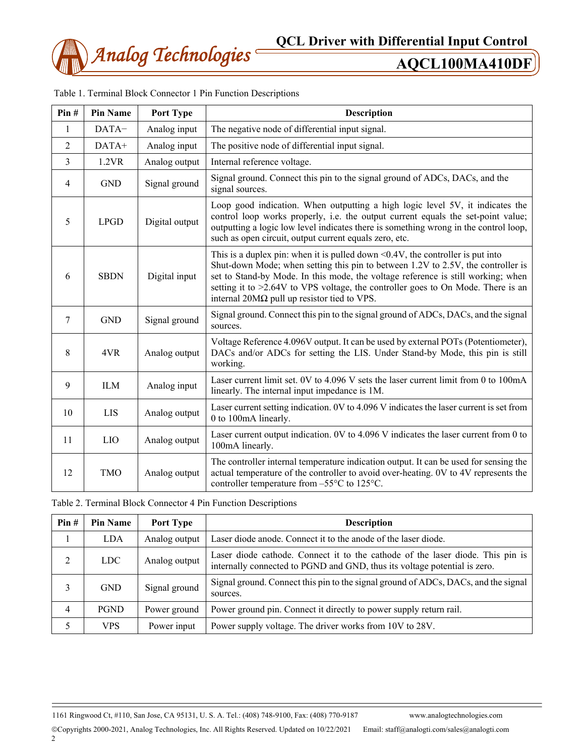

| Pin#           | <b>Pin Name</b> | Port Type      | <b>Description</b>                                                                                                                                                                                                                                                                                                                                                                                      |  |
|----------------|-----------------|----------------|---------------------------------------------------------------------------------------------------------------------------------------------------------------------------------------------------------------------------------------------------------------------------------------------------------------------------------------------------------------------------------------------------------|--|
| 1              | DATA-           | Analog input   | The negative node of differential input signal.                                                                                                                                                                                                                                                                                                                                                         |  |
| 2              | DATA+           | Analog input   | The positive node of differential input signal.                                                                                                                                                                                                                                                                                                                                                         |  |
| $\overline{3}$ | 1.2VR           | Analog output  | Internal reference voltage.                                                                                                                                                                                                                                                                                                                                                                             |  |
| $\overline{4}$ | <b>GND</b>      | Signal ground  | Signal ground. Connect this pin to the signal ground of ADCs, DACs, and the<br>signal sources.                                                                                                                                                                                                                                                                                                          |  |
| 5              | <b>LPGD</b>     | Digital output | Loop good indication. When outputting a high logic level 5V, it indicates the<br>control loop works properly, i.e. the output current equals the set-point value;<br>outputting a logic low level indicates there is something wrong in the control loop,<br>such as open circuit, output current equals zero, etc.                                                                                     |  |
| 6              | <b>SBDN</b>     | Digital input  | This is a duplex pin: when it is pulled down $\leq 0.4V$ , the controller is put into<br>Shut-down Mode; when setting this pin to between 1.2V to 2.5V, the controller is<br>set to Stand-by Mode. In this mode, the voltage reference is still working; when<br>setting it to >2.64V to VPS voltage, the controller goes to On Mode. There is an<br>internal $20M\Omega$ pull up resistor tied to VPS. |  |
| 7              | <b>GND</b>      | Signal ground  | Signal ground. Connect this pin to the signal ground of ADCs, DACs, and the signal<br>sources.                                                                                                                                                                                                                                                                                                          |  |
| 8              | 4VR             | Analog output  | Voltage Reference 4.096V output. It can be used by external POTs (Potentiometer),<br>DACs and/or ADCs for setting the LIS. Under Stand-by Mode, this pin is still<br>working.                                                                                                                                                                                                                           |  |
| 9              | <b>ILM</b>      | Analog input   | Laser current limit set. 0V to 4.096 V sets the laser current limit from 0 to 100mA<br>linearly. The internal input impedance is 1M.                                                                                                                                                                                                                                                                    |  |
| 10             | <b>LIS</b>      | Analog output  | Laser current setting indication. 0V to 4.096 V indicates the laser current is set from<br>0 to 100mA linearly.                                                                                                                                                                                                                                                                                         |  |
| 11             | LIO             | Analog output  | Laser current output indication. 0V to 4.096 V indicates the laser current from 0 to<br>100mA linearly.                                                                                                                                                                                                                                                                                                 |  |
| 12             | <b>TMO</b>      | Analog output  | The controller internal temperature indication output. It can be used for sensing the<br>actual temperature of the controller to avoid over-heating. 0V to 4V represents the<br>controller temperature from $-55^{\circ}$ C to 125 $^{\circ}$ C.                                                                                                                                                        |  |

Table 2. Terminal Block Connector 4 Pin Function Descriptions

| Pin# | <b>Pin Name</b> | Port Type     | <b>Description</b>                                                                                                                                          |  |
|------|-----------------|---------------|-------------------------------------------------------------------------------------------------------------------------------------------------------------|--|
|      | LDA             | Analog output | Laser diode anode. Connect it to the anode of the laser diode.                                                                                              |  |
| 2    | <b>LDC</b>      | Analog output | Laser diode cathode. Connect it to the cathode of the laser diode. This pin is<br>internally connected to PGND and GND, thus its voltage potential is zero. |  |
| 3    | <b>GND</b>      | Signal ground | Signal ground. Connect this pin to the signal ground of ADCs, DACs, and the signal<br>sources.                                                              |  |
| 4    | <b>PGND</b>     | Power ground  | Power ground pin. Connect it directly to power supply return rail.                                                                                          |  |
| 5    | VPS.            | Power input   | Power supply voltage. The driver works from 10V to 28V.                                                                                                     |  |

1161 Ringwood Ct, #110, San Jose, CA 95131, U. S. A. Tel.: (408) 748-9100, Fax: (408) 770-9187 www.analogtechnologies.com

Copyrights 2000-2021, Analog Technologies, Inc. All Rights Reserved. Updated on 10/22/2021 Email: staff@analogti.com/sales@analogti.com 2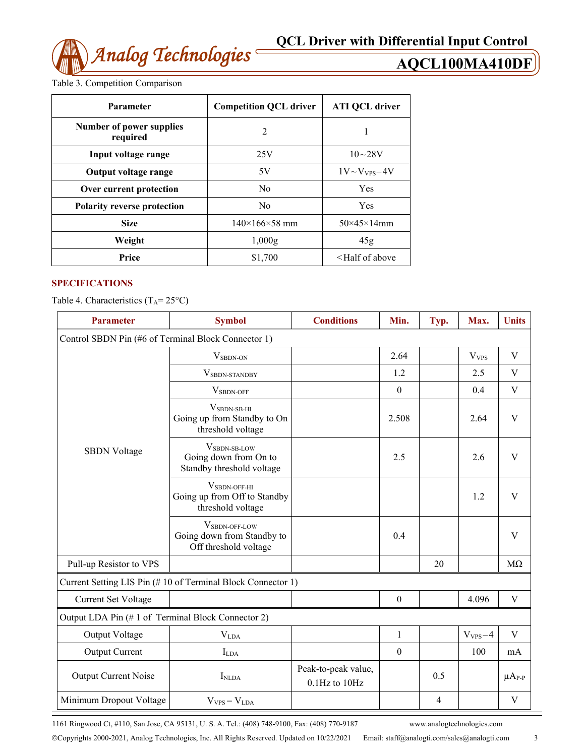

Table 3. Competition Comparison

| <b>Parameter</b>                            | <b>Competition QCL driver</b> | <b>ATI QCL driver</b>   |
|---------------------------------------------|-------------------------------|-------------------------|
| <b>Number of power supplies</b><br>required | $\overline{2}$                |                         |
| Input voltage range                         | 25V                           | $10 - 28V$              |
| Output voltage range                        | 5V                            | $1V \sim V_{VPS} - 4V$  |
| Over current protection                     | No                            | Yes                     |
| <b>Polarity reverse protection</b>          | N <sub>0</sub>                | <b>Yes</b>              |
| <b>Size</b>                                 | $140\times166\times58$ mm     | $50\times45\times14$ mm |
| Weight                                      | 1,000g                        | 45g                     |
| Price                                       | \$1,700                       | $\leq$ Half of above    |

#### **SPECIFICATIONS**

Table 4. Characteristics  $(T_A = 25^{\circ}C)$ 

| <b>Parameter</b>                                    | <b>Symbol</b>                                                                        | <b>Conditions</b>                    | Min.             | Typ. | Max.             | <b>Units</b>  |  |
|-----------------------------------------------------|--------------------------------------------------------------------------------------|--------------------------------------|------------------|------|------------------|---------------|--|
| Control SBDN Pin (#6 of Terminal Block Connector 1) |                                                                                      |                                      |                  |      |                  |               |  |
|                                                     | $V_{SBDN-ON}$                                                                        |                                      | 2.64             |      | V <sub>VPS</sub> | V             |  |
|                                                     | VSBDN-STANDBY                                                                        |                                      | 1.2              |      | 2.5              | V             |  |
|                                                     | V <sub>SBDN-OFF</sub>                                                                |                                      | $\boldsymbol{0}$ |      | 0.4              | $\mathbf V$   |  |
|                                                     | $VSBDN-SB-HI$<br>Going up from Standby to On<br>threshold voltage                    |                                      | 2.508            |      | 2.64             | V             |  |
| <b>SBDN Voltage</b>                                 | V <sub>SBDN-SB-LOW</sub><br>Going down from On to<br>Standby threshold voltage       |                                      | 2.5              |      | 2.6              | V             |  |
|                                                     | $V_{SBDN\text{-}OFF\text{-}HI}$<br>Going up from Off to Standby<br>threshold voltage |                                      |                  |      | 1.2              | $\mathbf{V}$  |  |
|                                                     | V <sub>SBDN-OFF-LOW</sub><br>Going down from Standby to<br>Off threshold voltage     |                                      | 0.4              |      |                  | V             |  |
| Pull-up Resistor to VPS                             |                                                                                      |                                      |                  | 20   |                  | $M\Omega$     |  |
|                                                     | Current Setting LIS Pin (#10 of Terminal Block Connector 1)                          |                                      |                  |      |                  |               |  |
| <b>Current Set Voltage</b>                          |                                                                                      |                                      | $\boldsymbol{0}$ |      | 4.096            | V             |  |
| Output LDA Pin (#1 of Terminal Block Connector 2)   |                                                                                      |                                      |                  |      |                  |               |  |
| Output Voltage                                      | <b>V</b> LDA                                                                         |                                      | 1                |      | $V_{VPS} - 4$    | V             |  |
| Output Current                                      | $I_{LDA}$                                                                            |                                      | $\boldsymbol{0}$ |      | 100              | mA            |  |
| <b>Output Current Noise</b>                         | I <sub>NLDA</sub>                                                                    | Peak-to-peak value,<br>0.1Hz to 10Hz |                  | 0.5  |                  | $\mu A_{P-P}$ |  |
| Minimum Dropout Voltage                             | $V_{VPS} - V_{LDA}$                                                                  |                                      |                  | 4    |                  | V             |  |

1161 Ringwood Ct, #110, San Jose, CA 95131, U. S. A. Tel.: (408) 748-9100, Fax: (408) 770-9187 www.analogtechnologies.com

Copyrights 2000-2021, Analog Technologies, Inc. All Rights Reserved. Updated on 10/22/2021 Email: staff@analogti.com/sales@analogti.com 3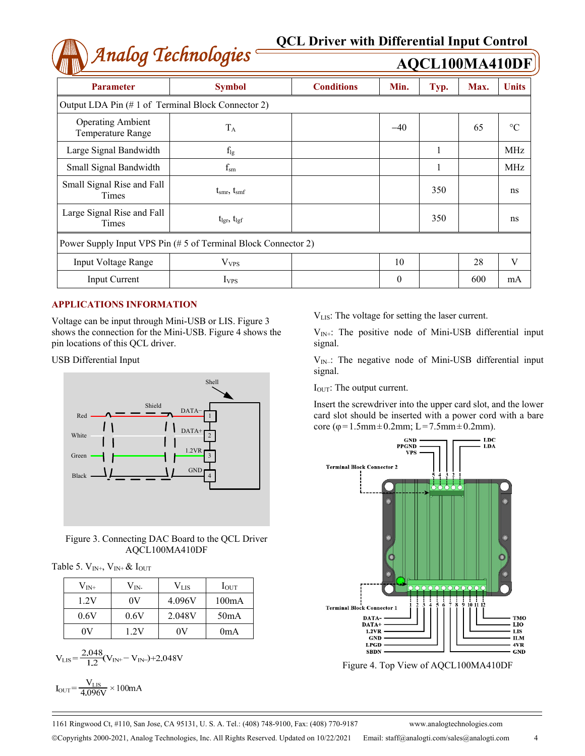# *Analog Technologies* **QCL Driver with Differential Input Control**

| Anaiog Technologies                                            |                               |                   | <b>AQCL100MA410DF</b> |      |      |                 |
|----------------------------------------------------------------|-------------------------------|-------------------|-----------------------|------|------|-----------------|
| <b>Parameter</b>                                               | <b>Symbol</b>                 | <b>Conditions</b> | Min.                  | Typ. | Max. | <b>Units</b>    |
| Output LDA Pin (#1 of Terminal Block Connector 2)              |                               |                   |                       |      |      |                 |
| <b>Operating Ambient</b><br><b>Temperature Range</b>           | $T_A$                         |                   | $-40$                 |      | 65   | $\rm ^{\circ}C$ |
| Large Signal Bandwidth                                         | $f_{lg}$                      |                   |                       |      |      | <b>MHz</b>      |
| Small Signal Bandwidth                                         | $f_{\rm sm}$                  |                   |                       |      |      | MHz             |
| Small Signal Rise and Fall<br>Times                            | $t_{\rm smr}, t_{\rm smf}$    |                   |                       | 350  |      | ns              |
| Large Signal Rise and Fall<br>Times                            | $t_{\rm lgr}$ , $t_{\rm lgf}$ |                   |                       | 350  |      | ns              |
| Power Supply Input VPS Pin (# 5 of Terminal Block Connector 2) |                               |                   |                       |      |      |                 |
| <b>Input Voltage Range</b>                                     | $V_{VPS}$                     |                   | 10                    |      | 28   | V               |
| <b>Input Current</b>                                           | <b>I</b> <sub>VPS</sub>       |                   | $\theta$              |      | 600  | mA              |

#### **APPLICATIONS INFORMATION**

Voltage can be input through Mini-USB or LIS. Figure 3 shows the connection for the Mini-USB. Figure 4 shows the pin locations of this QCL driver.

USB Differential Input



Figure 3. Connecting DAC Board to the QCL Driver AQCL100MA410DF

Table 5.  $V_{IN^+}$ ,  $V_{IN^+}$  &  $I_{OUT}$ 

| $\rm V_{IN^+}$ | $\rm V_{IN}$ | $\rm V_{\rm LIS}$ | $I_{\text{OUT}}$ |
|----------------|--------------|-------------------|------------------|
| 1.2V           | 0V           | 4.096V            | 100mA            |
| 0.6V           | 0.6V         | 2.048V            | 50mA             |
| ۵V             | 1.2V         | ОV                | 0mA              |

$$
V_{LIS} = \frac{2.048}{1.2} (V_{IN+} - V_{IN-}) + 2.048 V
$$

$$
I_{\text{OUT}} = \frac{V_{\text{LIS}}}{4.096 \text{V}} \times 100 \text{mA}
$$

VLIS: The voltage for setting the laser current.

 $V_{IN+}$ : The positive node of Mini-USB differential input signal.

 $V_{IN}$ : The negative node of Mini-USB differential input signal.

I<sub>OUT</sub>: The output current.

Insert the screwdriver into the upper card slot, and the lower card slot should be inserted with a power cord with a bare core (φ=1.5mm±0.2mm; L=7.5mm±0.2mm).



Figure 4. Top View of AQCL100MA410DF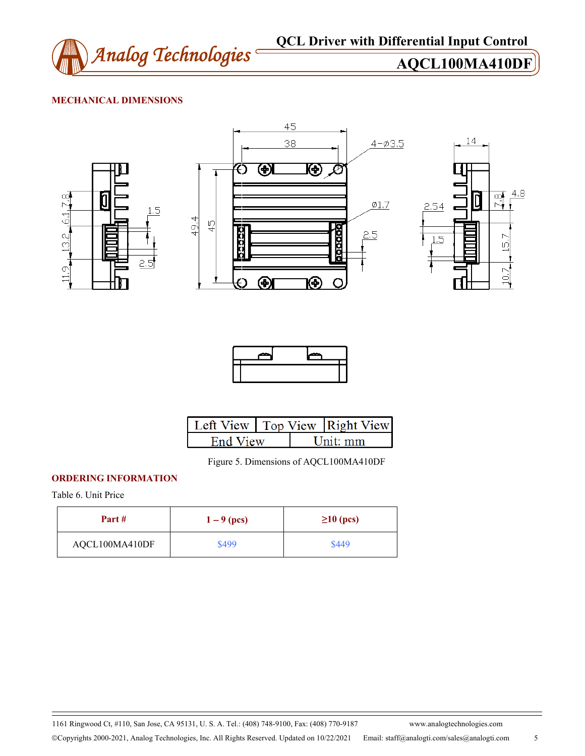

## **MECHANICAL DIMENSIONS**







|          |  | Left View   Top View   Right View |
|----------|--|-----------------------------------|
| End View |  | $\overline{\text{Init}}$ mm       |

Figure 5. Dimensions of AQCL100MA410DF

### **ORDERING INFORMATION**

Table 6. Unit Price

| Part #         | $1 - 9$ (pcs) | $\geq$ 10 (pcs) |
|----------------|---------------|-----------------|
| AQCL100MA410DF | \$499         | \$449           |